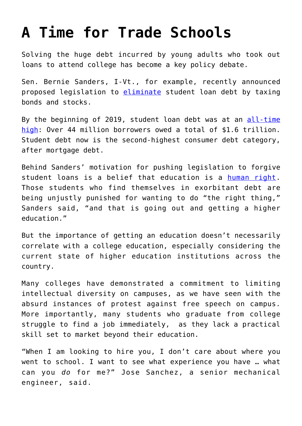## **[A Time for Trade Schools](https://intellectualtakeout.org/2019/07/a-time-for-trade-schools/)**

Solving the huge debt incurred by young adults who took out loans to attend college has become a key policy debate.

Sen. Bernie Sanders, I-Vt., for example, recently announced proposed legislation to [eliminate](https://www.bbc.com/news/world-us-canada-48747987) student loan debt by taxing bonds and stocks.

By the beginning of 2019, student loan debt was at an [all-time](https://www.forbes.com/sites/zackfriedman/2019/02/25/student-loan-debt-statistics-2019/#405f623133fb) [high](https://www.forbes.com/sites/zackfriedman/2019/02/25/student-loan-debt-statistics-2019/#405f623133fb): Over 44 million borrowers owed a total of \$1.6 trillion. Student debt now is the second-highest consumer debt category, after mortgage debt.

Behind Sanders' motivation for pushing legislation to forgive student loans is a belief that education is a [human right.](https://www.thetimes.co.uk/article/bernie-sanders-vow-to-cancel-1-6tn-student-debt-9s9s55stq) Those students who find themselves in exorbitant debt are being unjustly punished for wanting to do "the right thing," Sanders said, "and that is going out and getting a higher education."

But the importance of getting an education doesn't necessarily correlate with a college education, especially considering the current state of higher education institutions across the country.

Many colleges have demonstrated a commitment to limiting intellectual diversity on campuses, as we have seen with the absurd instances of protest against free speech on campus. More importantly, many students who graduate from college struggle to find a job immediately, as they lack a practical skill set to market beyond their education.

"When I am looking to hire you, I don't care about where you went to school. I want to see what experience you have … what can you *do* for me?" Jose Sanchez, a senior mechanical engineer, said.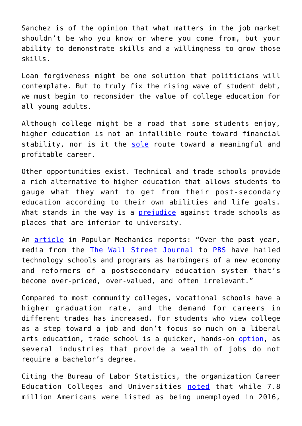Sanchez is of the opinion that what matters in the job market shouldn't be who you know or where you come from, but your ability to demonstrate skills and a willingness to grow those skills.

Loan forgiveness might be one solution that politicians will contemplate. But to truly fix the rising wave of student debt, we must begin to reconsider the value of college education for all young adults.

Although college might be a road that some students enjoy, higher education is not an infallible route toward financial stability, nor is it the [sole](https://www.theatlantic.com/magazine/archive/2018/01/whats-college-good-for/546590/) route toward a meaningful and profitable career.

Other opportunities exist. Technical and trade schools provide a rich alternative to higher education that allows students to gauge what they want to get from their post-secondary education according to their own abilities and life goals. What stands in the way is a **prejudice** against trade schools as places that are inferior to university.

An [article](https://www.popularmechanics.com/technology/a26789417/trade-schools/) in Popular Mechanics reports: "Over the past year, media from the [The Wall Street Journal](https://www.wsj.com/articles/stop-calling-it-vocational-training-11546298568) to [PBS](https://www.pbs.org/newshour/education/decades-pushing-bachelors-degrees-u-s-needs-tradespeople) have hailed technology schools and programs as harbingers of a new economy and reformers of a postsecondary education system that's become over-priced, over-valued, and often irrelevant."

Compared to most community colleges, vocational schools have a higher graduation rate, and the demand for careers in different trades has increased. For students who view college as a step toward a job and don't focus so much on a liberal arts education, trade school is a quicker, hands-on [option,](https://mystudentvoices.com/trade-school-vs-community-college-which-is-right-for-you-bd39f652c319) as several industries that provide a wealth of jobs do not require a bachelor's degree.

Citing the Bureau of Labor Statistics, the organization Career Education Colleges and Universities [noted](https://www.career.org/news/shortage-of-skills-construction-skilled-trades) that while 7.8 million Americans were listed as being unemployed in 2016,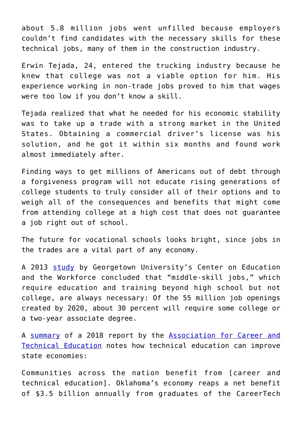about 5.8 million jobs went unfilled because employers couldn't find candidates with the necessary skills for these technical jobs, many of them in the construction industry.

Erwin Tejada, 24, entered the trucking industry because he knew that college was not a viable option for him. His experience working in non-trade jobs proved to him that wages were too low if you don't know a skill.

Tejada realized that what he needed for his economic stability was to take up a trade with a strong market in the United States. Obtaining a commercial driver's license was his solution, and he got it within six months and found work almost immediately after.

Finding ways to get millions of Americans out of debt through a forgiveness program will not educate rising generations of college students to truly consider all of their options and to weigh all of the consequences and benefits that might come from attending college at a high cost that does not guarantee a job right out of school.

The future for vocational schools looks bright, since jobs in the trades are a vital part of any economy.

A 2013 [study](https://1gyhoq479ufd3yna29x7ubjn-wpengine.netdna-ssl.com/wp-content/uploads/2014/11/Recovery2020.FR_.Web_.pdf) by Georgetown University's Center on Education and the Workforce concluded that "middle-skill jobs," which require education and training beyond high school but not college, are always necessary: Of the 55 million job openings created by 2020, about 30 percent will require some college or a two-year associate degree.

A [summary](https://www.acteonline.org/wp-content/uploads/2018/03/CTE_Works_Research-January2018.pdf) of a 2018 report by the [Association for Career and](https://www.acteonline.org/about/) [Technical Education](https://www.acteonline.org/about/) notes how technical education can improve state economies:

Communities across the nation benefit from [career and technical education]. Oklahoma's economy reaps a net benefit of \$3.5 billion annually from graduates of the CareerTech